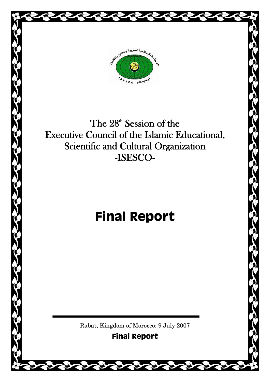

The 28<sup>th</sup> Session of the Executive Council of the Islamic Educational, Scientific and Cultural Organization -ISESCO-

# **Final Report**

Rabat, Kingdom of Morocco: 9 July 2007

**Final Report**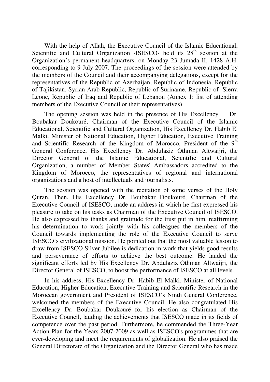With the help of Allah, the Executive Council of the Islamic Educational, Scientific and Cultural Organization -ISESCO- held its  $28<sup>th</sup>$  session at the Organization's permanent headquarters, on Monday 23 Jumada II, 1428 A.H. corresponding to 9 July 2007. The proceedings of the session were attended by the members of the Council and their accompanying delegations, except for the representatives of the Republic of Azerbaijan, Republic of Indonesia, Republic of Tajikistan, Syrian Arab Republic, Republic of Suriname, Republic of Sierra Leone, Republic of Iraq and Republic of Lebanon (Annex 1: list of attending members of the Executive Council or their representatives).

The opening session was held in the presence of His Excellency Dr. Boubakar Doukouré, Chairman of the Executive Council of the Islamic Educational, Scientific and Cultural Organization, His Excellency Dr. Habib El Malki, Minister of National Education, Higher Education, Executive Training and Scientific Research of the Kingdom of Morocco, President of the 9<sup>th</sup> General Conference, His Excellency Dr. Abdulaziz Othman Altwaijri, the Director General of the Islamic Educational, Scientific and Cultural Organization, a number of Member States' Ambassadors accredited to the Kingdom of Morocco, the representatives of regional and international organizations and a host of intellectuals and journalists.

The session was opened with the recitation of some verses of the Holy Quran. Then, His Excellency Dr. Boubakar Doukouré, Chairman of the Executive Council of ISESCO, made an address in which he first expressed his pleasure to take on his tasks as Chairman of the Executive Council of ISESCO. He also expressed his thanks and gratitude for the trust put in him, reaffirming his determination to work jointly with his colleagues the members of the Council towards implementing the role of the Executive Council to serve ISESCO's civilizational mission. He pointed out that the most valuable lesson to draw from ISESCO Silver Jubilee is dedication in work that yields good results and perseverance of efforts to achieve the best outcome. He lauded the significant efforts led by His Excellency Dr. Abdulaziz Othman Altwaijri, the Director General of ISESCO, to boost the performance of ISESCO at all levels.

In his address, His Excellency Dr. Habib El Malki, Minister of National Education, Higher Education, Executive Training and Scientific Research in the Moroccan government and President of ISESCO's Ninth General Conference, welcomed the members of the Executive Council. He also congratulated His Excellency Dr. Boubakar Doukouré for his election as Chairman of the Executive Council, lauding the achievements that ISESCO made in its fields of competence over the past period. Furthermore, he commended the Three-Year Action Plan for the Years 2007-2009 as well as ISESCO's programmes that are ever-developing and meet the requirements of globalization. He also praised the General Directorate of the Organization and the Director General who has made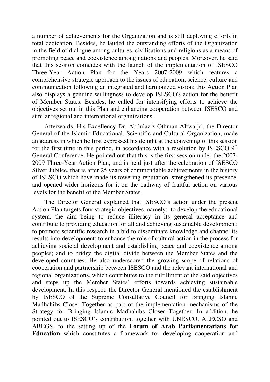a number of achievements for the Organization and is still deploying efforts in total dedication. Besides, he lauded the outstanding efforts of the Organization in the field of dialogue among cultures, civilisations and religions as a means of promoting peace and coexistence among nations and peoples. Moreover, he said that this session coincides with the launch of the implementation of ISESCO Three-Year Action Plan for the Years 2007-2009 which features a comprehensive strategic approach to the issues of education, science, culture and communication following an integrated and harmonized vision; this Action Plan also displays a genuine willingness to develop ISESCO's action for the benefit of Member States. Besides, he called for intensifying efforts to achieve the objectives set out in this Plan and enhancing cooperation between ISESCO and similar regional and international organizations.

Afterwards, His Excellency Dr. Abdulaziz Othman Altwaijri, the Director General of the Islamic Educational, Scientific and Cultural Organization, made an address in which he first expressed his delight at the convening of this session for the first time in this period, in accordance with a resolution by ISESCO  $9<sup>th</sup>$ General Conference. He pointed out that this is the first session under the 2007- 2009 Three-Year Action Plan, and is held just after the celebration of ISESCO Silver Jubilee, that is after 25 years of commendable achievements in the history of ISESCO which have made its towering reputation, strengthened its presence, and opened wider horizons for it on the pathway of fruitful action on various levels for the benefit of the Member States.

The Director General explained that ISESCO's action under the present Action Plan targets four strategic objectives, namely: to develop the educational system, the aim being to reduce illiteracy in its general acceptance and contribute to providing education for all and achieving sustainable development; to promote scientific research in a bid to disseminate knowledge and channel its results into development; to enhance the role of cultural action in the process for achieving societal development and establishing peace and coexistence among peoples; and to bridge the digital divide between the Member States and the developed countries. He also underscored the growing scope of relations of cooperation and partnership between ISESCO and the relevant international and regional organizations, which contributes to the fulfillment of the said objectives and steps up the Member States' efforts towards achieving sustainable development. In this respect, the Director General mentioned the establishment by ISESCO of the Supreme Consultative Council for Bringing Islamic Madhahibs Closer Together as part of the implementation mechanisms of the Strategy for Bringing Islamic Madhahibs Closer Together. In addition, he pointed out to ISESCO's contribution, together with UNESCO, ALECSO and ABEGS, to the setting up of the **Forum of Arab Parliamentarians for Education** which constitutes a framework for developing cooperation and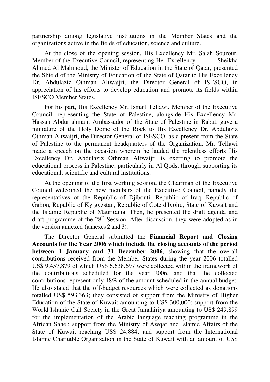partnership among legislative institutions in the Member States and the organizations active in the fields of education, science and culture.

At the close of the opening session, His Excellency Mr. Salah Sourour, Member of the Executive Council, representing Her Excellency Sheikha Ahmed Al Mahmoud, the Minister of Education in the State of Qatar, presented the Shield of the Ministry of Education of the State of Qatar to His Excellency Dr. Abdulaziz Othman Altwaijri, the Director General of ISESCO, in appreciation of his efforts to develop education and promote its fields within ISESCO Member States.

For his part, His Excellency Mr. Ismail Tellawi, Member of the Executive Council, representing the State of Palestine, alongside His Excellency Mr. Hassan Abdurrahman, Ambassador of the State of Palestine in Rabat, gave a miniature of the Holy Dome of the Rock to His Excellency Dr. Abdulaziz Othman Altwaijri, the Director General of ISESCO, as a present from the State of Palestine to the permanent headquarters of the Organization. Mr. Tellawi made a speech on the occasion wherein he lauded the relentless efforts His Excellency Dr. Abdulaziz Othman Altwaijri is exerting to promote the educational process in Palestine, particularly in Al Qods, through supporting its educational, scientific and cultural institutions.

At the opening of the first working session, the Chairman of the Executive Council welcomed the new members of the Executive Council, namely the representatives of the Republic of Djibouti, Republic of Iraq, Republic of Gabon, Republic of Kyrgyzstan, Republic of Côte d'Ivoire, State of Kuwait and the Islamic Republic of Mauritania. Then, he presented the draft agenda and draft programme of the  $28<sup>th</sup>$  Session. After discussion, they were adopted as in the version annexed (annexes 2 and 3).

The Director General submitted the **Financial Report and Closing Accounts for the Year 2006 which include the closing accounts of the period between 1 January and 31 December 2006**, showing that the overall contributions received from the Member States during the year 2006 totalled US\$ 9,457,879 of which US\$ 6.638.697 were collected within the framework of the contributions scheduled for the year 2006, and that the collected contributions represent only 48% of the amount scheduled in the annual budget. He also stated that the off-budget resources which were collected as donations totalled US\$ 593,363; they consisted of support from the Ministry of Higher Education of the State of Kuwait amounting to US\$ 300,000; support from the World Islamic Call Society in the Great Jamahiriya amounting to US\$ 249,899 for the implementation of the Arabic language teaching programme in the African Sahel; support from the Ministry of Awqaf and Islamic Affairs of the State of Kuwait reaching US\$ 24,884; and support from the International Islamic Charitable Organization in the State of Kuwait with an amount of US\$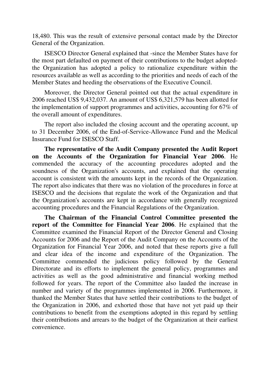18,480. This was the result of extensive personal contact made by the Director General of the Organization.

ISESCO Director General explained that -since the Member States have for the most part defaulted on payment of their contributions to the budget adoptedthe Organization has adopted a policy to rationalize expenditure within the resources available as well as according to the priorities and needs of each of the Member States and heeding the observations of the Executive Council.

Moreover, the Director General pointed out that the actual expenditure in 2006 reached US\$ 9,432,037. An amount of US\$ 6,321,579 has been allotted for the implementation of support programmes and activities, accounting for 67% of the overall amount of expenditures.

The report also included the closing account and the operating account, up to 31 December 2006, of the End-of-Service-Allowance Fund and the Medical Insurance Fund for ISESCO Staff.

**The representative of the Audit Company presented the Audit Report on the Accounts of the Organization for Financial Year 2006**. He commended the accuracy of the accounting procedures adopted and the soundness of the Organization's accounts, and explained that the operating account is consistent with the amounts kept in the records of the Organization. The report also indicates that there was no violation of the procedures in force at ISESCO and the decisions that regulate the work of the Organization and that the Organization's accounts are kept in accordance with generally recognized accounting procedures and the Financial Regulations of the Organization.

**The Chairman of the Financial Control Committee presented the report of the Committee for Financial Year 2006**. He explained that the Committee examined the Financial Report of the Director General and Closing Accounts for 2006 and the Report of the Audit Company on the Accounts of the Organization for Financial Year 2006, and noted that these reports give a full and clear idea of the income and expenditure of the Organization. The Committee commended the judicious policy followed by the General Directorate and its efforts to implement the general policy, programmes and activities as well as the good administrative and financial working method followed for years. The report of the Committee also lauded the increase in number and variety of the programmes implemented in 2006. Furthermore, it thanked the Member States that have settled their contributions to the budget of the Organization in 2006, and exhorted those that have not yet paid up their contributions to benefit from the exemptions adopted in this regard by settling their contributions and arrears to the budget of the Organization at their earliest convenience.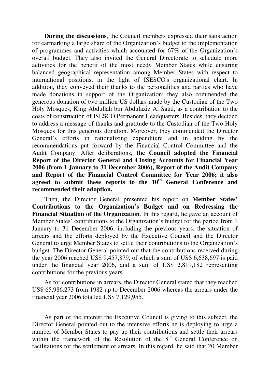**During the discussions**, the Council members expressed their satisfaction for earmarking a large share of the Organization's budget to the implementation of programmes and activities which accounted for 67% of the Organization's overall budget. They also invited the General Directorate to schedule more activities for the benefit of the most needy Member States while ensuring balanced geographical representation among Member States with respect to international positions, in the light of ISESCO's organizational chart. In addition, they conveyed their thanks to the personalities and parties who have made donations in support of the Organization; they also commended the generous donation of two million US dollars made by the Custodian of the Two Holy Mosques, King Abdullah bin Abdulaziz Al Saud, as a contribution to the costs of construction of ISESCO Permanent Headquarters. Besides, they decided to address a message of thanks and gratitude to the Custodian of the Two Holy Mosques for this generous donation. Moreover, they commended the Director General's efforts in rationalizing expenditure and in abiding by the recommendations put forward by the Financial Control Committee and the Audit Company. After deliberations, **the Council adopted the Financial Report of the Director General and Closing Accounts for Financial Year 2006 (from 1 January to 31 December 2006), Report of the Audit Company and Report of the Financial Control Committee for Year 2006; it also agreed to submit these reports to the 10th General Conference and recommended their adoption.**

Then, the Director General presented his report on **Member States' Contributions to the Organization's Budget and on Redressing the Financial Situation of the Organization**. In this regard, he gave an account of Member States' contributions to the Organization's budget for the period from 1 January to 31 December 2006, including the previous years, the situation of arrears and the efforts deployed by the Executive Council and the Director General to urge Member States to settle their contributions to the Organization's budget. The Director General pointed out that the contributions received during the year 2006 reached US\$ 9,457,879, of which a sum of US\$ 6,638,697 is paid under the financial year 2006, and a sum of US\$ 2,819,182 representing contributions for the previous years.

As for contributions in arrears, the Director General stated that they reached US\$ 65,986,273 from 1982 up to December 2006 whereas the arrears under the financial year 2006 totalled US\$ 7,129,955.

As part of the interest the Executive Council is giving to this subject, the Director General pointed out to the intensive efforts he is deploying to urge a number of Member States to pay up their contributions and settle their arrears within the framework of the Resolution of the  $8<sup>th</sup>$  General Conference on facilitations for the settlement of arrears. In this regard, he said that 20 Member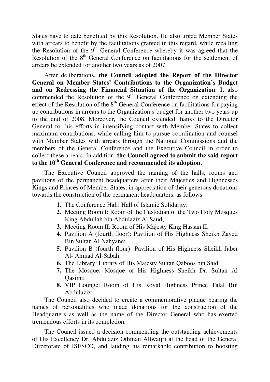States have to date benefited by this Resolution. He also urged Member States with arrears to benefit by the facilitations granted in this regard, while recalling the Resolution of the 9<sup>th</sup> General Conference whereby it was agreed that the Resolution of the  $8<sup>th</sup>$  General Conference on facilitations for the settlement of arrears be extended for another two years as of 2007.

After deliberations, **the Council adopted the Report of the Director General on Member States' Contributions to the Organization's Budget and on Redressing the Financial Situation of the Organization**. It also commended the Resolution of the  $9<sup>th</sup>$  General Conference on extending the effect of the Resolution of the  $8<sup>th</sup>$  General Conference on facilitations for paying up contributions in arrears to the Organization's budget for another two years up to the end of 2008. Moreover, the Council extended thanks to the Director General for his efforts in intensifying contact with Member States to collect maximum contributions, while calling him to pursue coordination and counsel with Member States with arrears through the National Commissions and the members of the General Conference and the Executive Council in order to collect these arrears. In addition, **the Council agreed to submit the said report to the 10th General Conference and recommended its adoption.**

The Executive Council approved the naming of the halls, rooms and pavilions of the permanent headquarters after their Majesties and Highnesses Kings and Princes of Member States, in appreciation of their generous donations towards the construction of the permanent headquarters, as follows:

- **1.** The Conference Hall: Hall of Islamic Solidarity;
- **2.** Meeting Room I: Room of the Custodian of the Two Holy Mosques King Abdullah bin Abdulaziz Al Saud;
- **3.** Meeting Room II: Room of His Majesty King Hassan II;
- **4.** Pavilion A (fourth floor): Pavilion of His Highness Sheikh Zayed Bin Sultan Al Nahyane;
- **5.** Pavilion B (fourth flour): Pavilion of His Highness Sheikh Jaber Al- Ahmad Al-Sabah;
- **6.** The Library: Library of His Majesty Sultan Qaboos bin Said.
- **7.** The Mosque: Mosque of His Highness Sheikh Dr. Sultan Al Qasimi;
- **8.** VIP Lounge: Room of His Royal Highness Prince Talal Bin Abdulaziz;

The Council also decided to create a commemorative plaque bearing the names of personalities who made donations for the construction of the Headquarters as well as the name of the Director General who has exerted tremendous efforts in its completion.

The Council issued a decision commending the outstanding achievements of His Excellency Dr. Abdulaziz Othman Altwaijri at the head of the General Directorate of ISESCO, and lauding his remarkable contribution to boosting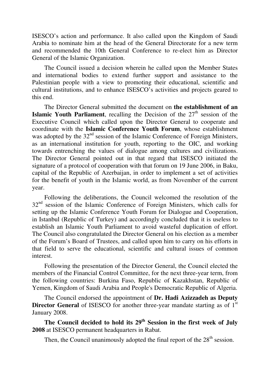ISESCO's action and performance. It also called upon the Kingdom of Saudi Arabia to nominate him at the head of the General Directorate for a new term and recommended the 10th General Conference to re-elect him as Director General of the Islamic Organization.

The Council issued a decision wherein he called upon the Member States and international bodies to extend further support and assistance to the Palestinian people with a view to promoting their educational, scientific and cultural institutions, and to enhance ISESCO's activities and projects geared to this end.

The Director General submitted the document on **the establishment of an Islamic Youth Parliament**, recalling the Decision of the  $27<sup>th</sup>$  session of the Executive Council which called upon the Director General to cooperate and coordinate with the **Islamic Conference Youth Forum**, whose establishment was adopted by the  $32<sup>nd</sup>$  session of the Islamic Conference of Foreign Ministers, as an international institution for youth, reporting to the OIC, and working towards entrenching the values of dialogue among cultures and civilizations. The Director General pointed out in that regard that ISESCO initiated the signature of a protocol of cooperation with that forum on 19 June 2006, in Baku, capital of the Republic of Azerbaijan, in order to implement a set of activities for the benefit of youth in the Islamic world, as from November of the current year.

Following the deliberations, the Council welcomed the resolution of the 32<sup>nd</sup> session of the Islamic Conference of Foreign Ministers, which calls for setting up the Islamic Conference Youth Forum for Dialogue and Cooperation, in Istanbul (Republic of Turkey) and accordingly concluded that it is useless to establish an Islamic Youth Parliament to avoid wasteful duplication of effort. The Council also congratulated the Director General on his election as a member of the Forum's Board of Trustees, and called upon him to carry on his efforts in that field to serve the educational, scientific and cultural issues of common interest.

Following the presentation of the Director General, the Council elected the members of the Financial Control Committee, for the next three-year term, from the following countries: Burkina Faso, Republic of Kazakhstan, Republic of Yemen, Kingdom of Saudi Arabia and People's Democratic Republic of Algeria.

The Council endorsed the appointment of **Dr. Hadi Azizzadeh as Deputy Director General** of ISESCO for another three-year mandate starting as of 1<sup>st</sup> January 2008.

**The Council decided to hold its 29th Session in the first week of July 2008** at ISESCO permanent headquarters in Rabat.

Then, the Council unanimously adopted the final report of the  $28<sup>th</sup>$  session.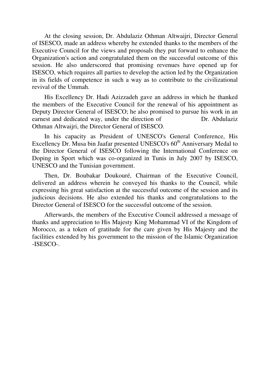At the closing session, Dr. Abdulaziz Othman Altwaijri, Director General of ISESCO, made an address whereby he extended thanks to the members of the Executive Council for the views and proposals they put forward to enhance the Organization's action and congratulated them on the successful outcome of this session. He also underscored that promising revenues have opened up for ISESCO, which requires all parties to develop the action led by the Organization in its fields of competence in such a way as to contribute to the civilizational revival of the Ummah.

His Excellency Dr. Hadi Azizzadeh gave an address in which he thanked the members of the Executive Council for the renewal of his appointment as Deputy Director General of ISESCO; he also promised to pursue his work in an earnest and dedicated way, under the direction of Dr. Abdulaziz Othman Altwaijri, the Director General of ISESCO.

In his capacity as President of UNESCO's General Conference, His Excellency Dr. Musa bin Jaafar presented UNESCO's 60<sup>th</sup> Anniversary Medal to the Director General of ISESCO following the International Conference on Doping in Sport which was co-organized in Tunis in July 2007 by ISESCO, UNESCO and the Tunisian government.

Then, Dr. Boubakar Doukouré, Chairman of the Executive Council, delivered an address wherein he conveyed his thanks to the Council, while expressing his great satisfaction at the successful outcome of the session and its judicious decisions. He also extended his thanks and congratulations to the Director General of ISESCO for the successful outcome of the session.

Afterwards, the members of the Executive Council addressed a message of thanks and appreciation to His Majesty King Mohammad VI of the Kingdom of Morocco, as a token of gratitude for the care given by His Majesty and the facilities extended by his government to the mission of the Islamic Organization -ISESCO-.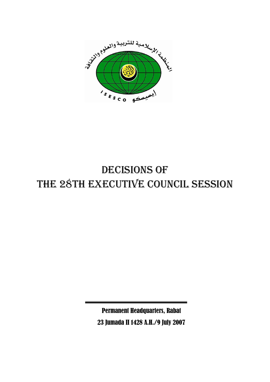

# DECISIONS OF THE 28TH EXECUTIVE COUNCIL SESSION

Permanent Headquarters, Rabat 23 Jumada II 1428 A.H./9 July 2007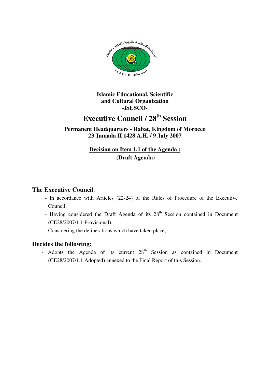

# **Executive Council / 28th Session**

**Permanent Headquarters - Rabat, Kingdom of Morocco 23 Jumada II 1428 A.H. / 9 July 2007** 

> **Decision on Item 1.1 of the Agenda : (Draft Agenda)**

#### **The Executive Council**,

- In accordance with Articles (22-24) of the Rules of Procedure of the Executive Council,
- Having considered the Draft Agenda of its  $28<sup>th</sup>$  Session contained in Document (CE28/2007/1.1 Provisional),
- Considering the deliberations which have taken place,

#### **Decides the following:**

- Adopts the Agenda of its current  $28<sup>th</sup>$  Session as contained in Document (CE28/2007/1.1 Adopted) annexed to the Final Report of this Session.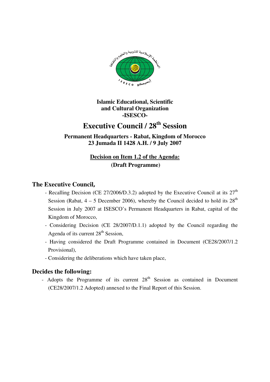

## **Executive Council / 28th Session**

**Permanent Headquarters - Rabat, Kingdom of Morocco 23 Jumada II 1428 A.H. / 9 July 2007** 

### **Decision on Item 1.2 of the Agenda: (Draft Programme)**

#### **The Executive Council,**

- Recalling Decision (CE 27/2006/D.3.2) adopted by the Executive Council at its  $27<sup>th</sup>$ Session (Rabat,  $4 - 5$  December 2006), whereby the Council decided to hold its  $28<sup>th</sup>$ Session in July 2007 at ISESCO's Permanent Headquarters in Rabat, capital of the Kingdom of Morocco,
- Considering Decision (CE 28/2007/D.1.1) adopted by the Council regarding the Agenda of its current  $28<sup>th</sup>$  Session,
- Having considered the Draft Programme contained in Document (CE28/2007/1.2 Provisional),
- Considering the deliberations which have taken place,

#### **Decides the following:**

- Adopts the Programme of its current  $28<sup>th</sup>$  Session as contained in Document (CE28/2007/1.2 Adopted) annexed to the Final Report of this Session.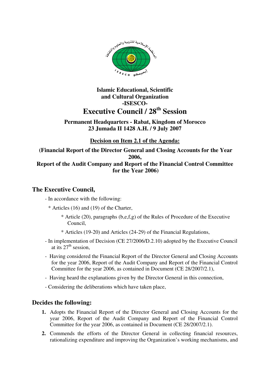

#### **Permanent Headquarters - Rabat, Kingdom of Morocco 23 Jumada II 1428 A.H. / 9 July 2007**

**Decision on Item 2.1 of the Agenda:**

 **(Financial Report of the Director General and Closing Accounts for the Year 2006, Report of the Audit Company and Report of the Financial Control Committee for the Year 2006)** 

#### **The Executive Council,**

- In accordance with the following:
	- \* Articles (16) and (19) of the Charter,
		- \* Article (20), paragraphs (b,e,f,g) of the Rules of Procedure of the Executive Council,
		- \* Articles (19-20) and Articles (24-29) of the Financial Regulations,
- In implementation of Decision (CE 27/2006/D.2.10) adopted by the Executive Council at its  $27<sup>th</sup>$  session.
- Having considered the Financial Report of the Director General and Closing Accounts for the year 2006, Report of the Audit Company and Report of the Financial Control Committee for the year 2006, as contained in Document (CE 28/2007/2.1),
- Having heard the explanations given by the Director General in this connection,
- Considering the deliberations which have taken place,

- **1.** Adopts the Financial Report of the Director General and Closing Accounts for the year 2006, Report of the Audit Company and Report of the Financial Control Committee for the year 2006, as contained in Document (CE 28/2007/2.1).
- **2.** Commends the efforts of the Director General in collecting financial resources, rationalizing expenditure and improving the Organization's working mechanisms, and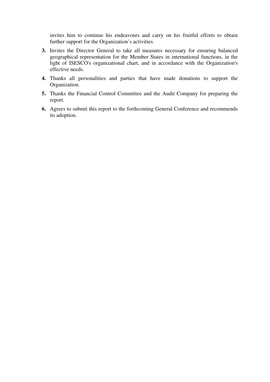invites him to continue his endeavours and carry on his fruitful efforts to obtain further support for the Organization's activities.

- **3.** Invites the Director General to take all measures necessary for ensuring balanced geographical representation for the Member States in international functions, in the light of ISESCO's organizational chart, and in accordance with the Organization's effective needs.
- **4.** Thanks all personalities and parties that have made donations to support the Organization.
- **5.** Thanks the Financial Control Committee and the Audit Company for preparing the report.
- **6.** Agrees to submit this report to the forthcoming General Conference and recommends its adoption.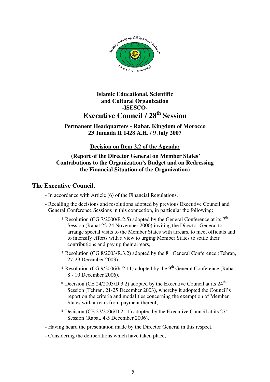

#### **Permanent Headquarters - Rabat, Kingdom of Morocco 23 Jumada II 1428 A.H. / 9 July 2007**

#### **Decision on Item 2.2 of the Agenda:**

#### **(Report of the Director General on Member States' Contributions to the Organization's Budget and on Redressing the Financial Situation of the Organization)**

#### **The Executive Council,**

- In accordance with Article (6) of the Financial Regulations,
- Recalling the decisions and resolutions adopted by previous Executive Council and General Conference Sessions in this connection, in particular the following:
	- \* Resolution (CG 7/2000/R.2.5) adopted by the General Conference at its  $7<sup>th</sup>$ Session (Rabat 22-24 November 2000) inviting the Director General to arrange special visits to the Member States with arrears, to meet officials and to intensify efforts with a view to urging Member States to settle their contributions and pay up their arrears,
	- \* Resolution (CG 8/2003/R.3.2) adopted by the  $8<sup>th</sup>$  General Conference (Tehran, 27-29 December 2003),
	- \* Resolution (CG 9/2006/R.2.11) adopted by the  $9<sup>th</sup>$  General Conference (Rabat, 8 - 10 December 2006),
	- \* Decision (CE 24/2003/D.3.2) adopted by the Executive Council at its  $24<sup>th</sup>$ Session (Tehran, 21-25 December 2003), whereby it adopted the Council's report on the criteria and modalities concerning the exemption of Member States with arrears from payment thereof,
	- \* Decision (CE 27/2006/D.2.11) adopted by the Executive Council at its  $27<sup>th</sup>$ Session (Rabat, 4-5 December 2006),
- Having heard the presentation made by the Director General in this respect,
- Considering the deliberations which have taken place,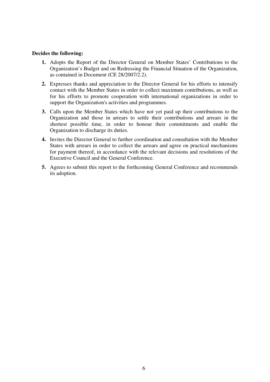- **1.** Adopts the Report of the Director General on Member States' Contributions to the Organization's Budget and on Redressing the Financial Situation of the Organization, as contained in Document (CE 28/2007/2.2).
- **2.** Expresses thanks and appreciation to the Director General for his efforts to intensify contact with the Member States in order to collect maximum contributions, as well as for his efforts to promote cooperation with international organizations in order to support the Organization's activities and programmes.
- **3.** Calls upon the Member States which have not yet paid up their contributions to the Organization and those in arrears to settle their contributions and arrears in the shortest possible time, in order to honour their commitments and enable the Organization to discharge its duties.
- **4.** Invites the Director General to further coordination and consultation with the Member States with arrears in order to collect the arrears and agree on practical mechanisms for payment thereof, in accordance with the relevant decisions and resolutions of the Executive Council and the General Conference.
- **5.** Agrees to submit this report to the forthcoming General Conference and recommends its adoption.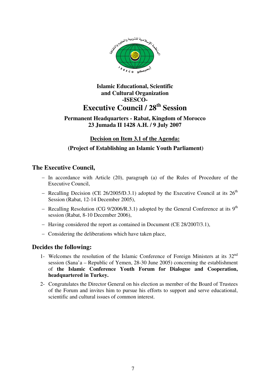

#### **Permanent Headquarters - Rabat, Kingdom of Morocco 23 Jumada II 1428 A.H. / 9 July 2007**

#### **Decision on Item 3.1 of the Agenda:**

#### **(Project of Establishing an Islamic Youth Parliament)**

#### **The Executive Council,**

- − In accordance with Article (20), paragraph (a) of the Rules of Procedure of the Executive Council,
- $-$  Recalling Decision (CE 26/2005/D.3.1) adopted by the Executive Council at its 26<sup>th</sup> Session (Rabat, 12-14 December 2005),
- − Recalling Resolution (CG 9/2006/R.3.1) adopted by the General Conference at its 9th session (Rabat, 8-10 December 2006),
- − Having considered the report as contained in Document (CE 28/2007/3.1),
- − Considering the deliberations which have taken place,

- 1- Welcomes the resolution of the Islamic Conference of Foreign Ministers at its  $32<sup>nd</sup>$ session (Sana'a – Republic of Yemen, 28-30 June 2005) concerning the establishment of **the Islamic Conference Youth Forum for Dialogue and Cooperation, headquartered in Turkey.**
- 2- Congratulates the Director General on his election as member of the Board of Trustees of the Forum and invites him to pursue his efforts to support and serve educational, scientific and cultural issues of common interest.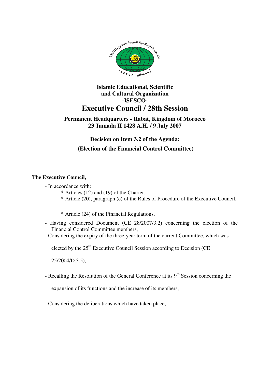

#### **Permanent Headquarters - Rabat, Kingdom of Morocco 23 Jumada II 1428 A.H. / 9 July 2007**

#### **Decision on Item 3.2 of the Agenda:**

#### **(Election of the Financial Control Committee)**

#### **The Executive Council,**

- In accordance with:
	- \* Articles (12) and (19) of the Charter,
	- \* Article (20), paragraph (e) of the Rules of Procedure of the Executive Council,
	- \* Article (24) of the Financial Regulations,
- Having considered Document (CE 28/2007/3.2) concerning the election of the Financial Control Committee members,
- Considering the expiry of the three-year term of the current Committee, which was

elected by the 25<sup>th</sup> Executive Council Session according to Decision (CE

25/2004/D.3.5),

- Recalling the Resolution of the General Conference at its  $9<sup>th</sup>$  Session concerning the

expansion of its functions and the increase of its members,

- Considering the deliberations which have taken place,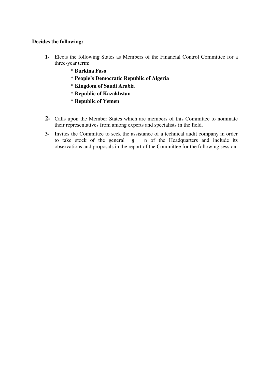- **1-** Elects the following States as Members of the Financial Control Committee for a three-year term:
	- **\* Burkina Faso**
	- **\* People's Democratic Republic of Algeria**
	- **\* Kingdom of Saudi Arabia**
	- **\* Republic of Kazakhstan**
	- **\* Republic of Yemen**
- **2-** Calls upon the Member States which are members of this Committee to nominate their representatives from among experts and specialists in the field.
- **3-** Invites the Committee to seek the assistance of a technical audit company in order n of the Headquarters and include its observations and proposals in the report of the Committee for the following session. to take stock of the general 8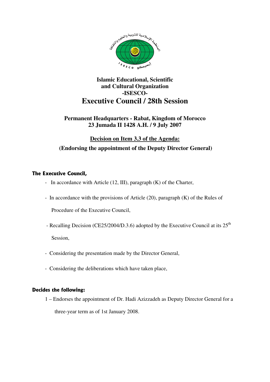

#### **Permanent Headquarters - Rabat, Kingdom of Morocco 23 Jumada II 1428 A.H. / 9 July 2007**

### **Decision on Item 3.3 of the Agenda: (Endorsing the appointment of the Deputy Director General)**

#### **The Executive Council,**

- In accordance with Article (12, III), paragraph (K) of the Charter,
- In accordance with the provisions of Article (20), paragraph (K) of the Rules of

Procedure of the Executive Council,

- Recalling Decision (CE25/2004/D.3.6) adopted by the Executive Council at its 25<sup>th</sup> Session,
- Considering the presentation made by the Director General,
- Considering the deliberations which have taken place,

#### **Decides the following:**

1 – Endorses the appointment of Dr. Hadi Azizzadeh as Deputy Director General for a three-year term as of 1st January 2008.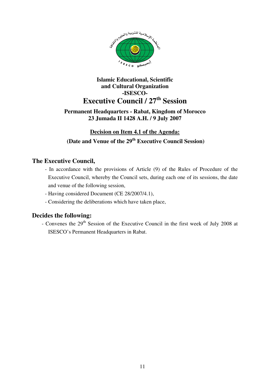

#### **Permanent Headquarters - Rabat, Kingdom of Morocco 23 Jumada II 1428 A.H. / 9 July 2007**

## **Decision on Item 4.1 of the Agenda: (Date and Venue of the 29th Executive Council Session)**

#### **The Executive Council,**

- In accordance with the provisions of Article (9) of the Rules of Procedure of the Executive Council, whereby the Council sets, during each one of its sessions, the date and venue of the following session,
- Having considered Document (CE 28/2007/4.1),
- Considering the deliberations which have taken place,

#### **Decides the following:**

- Convenes the 29<sup>th</sup> Session of the Executive Council in the first week of July 2008 at ISESCO's Permanent Headquarters in Rabat.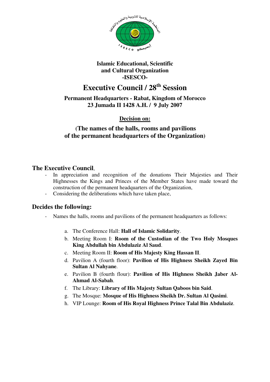

## **Executive Council / 28th Session**

**Permanent Headquarters - Rabat, Kingdom of Morocco 23 Jumada II 1428 A.H. / 9 July 2007** 

**Decision on:**

#### **(The names of the halls, rooms and pavilions of the permanent headquarters of the Organization)**

#### **The Executive Council**,

- In appreciation and recognition of the donations Their Majesties and Their Highnesses the Kings and Princes of the Member States have made toward the construction of the permanent headquarters of the Organization,
- Considering the deliberations which have taken place,

- Names the halls, rooms and pavilions of the permanent headquarters as follows:
	- a. The Conference Hall: **Hall of Islamic Solidarity**.
	- b. Meeting Room I: **Room of the Custodian of the Two Holy Mosques King Abdullah bin Abdulaziz Al Saud**.
	- c. Meeting Room II: **Room of His Majesty King Hassan II**.
	- d. Pavilion A (fourth floor): **Pavilion of His Highness Sheikh Zayed Bin Sultan Al Nahyane**.
	- e. Pavilion B (fourth flour): **Pavilion of His Highness Sheikh Jaber Al-Ahmad Al-Sabah**.
	- f. The Library: **Library of His Majesty Sultan Qaboos bin Said**.
	- g. The Mosque: **Mosque of His Highness Sheikh Dr. Sultan Al Qasimi**.
	- h. VIP Lounge: **Room of His Royal Highness Prince Talal Bin Abdulaziz**.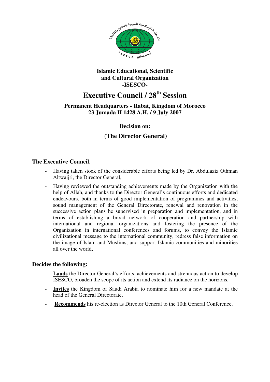

# **Executive Council / 28th Session**

#### **Permanent Headquarters - Rabat, Kingdom of Morocco 23 Jumada II 1428 A.H. / 9 July 2007**

#### **Decision on:**

#### **(The Director General)**

#### **The Executive Council**,

- Having taken stock of the considerable efforts being led by Dr. Abdulaziz Othman Altwaijri, the Director General,
- Having reviewed the outstanding achievements made by the Organization with the help of Allah, and thanks to the Director General's continuous efforts and dedicated endeavours, both in terms of good implementation of programmes and activities, sound management of the General Directorate, renewal and renovation in the successive action plans he supervised in preparation and implementation, and in terms of establishing a broad network of cooperation and partnership with international and regional organizations and fostering the presence of the Organization in international conferences and forums, to convey the Islamic civilizational message to the international community, redress false information on the image of Islam and Muslims, and support Islamic communities and minorities all over the world,

- **Lauds** the Director General's efforts, achievements and strenuous action to develop ISESCO, broaden the scope of its action and extend its radiance on the horizons.
- Invites the Kingdom of Saudi Arabia to nominate him for a new mandate at the head of the General Directorate.
- Recommends his re-election as Director General to the 10th General Conference.